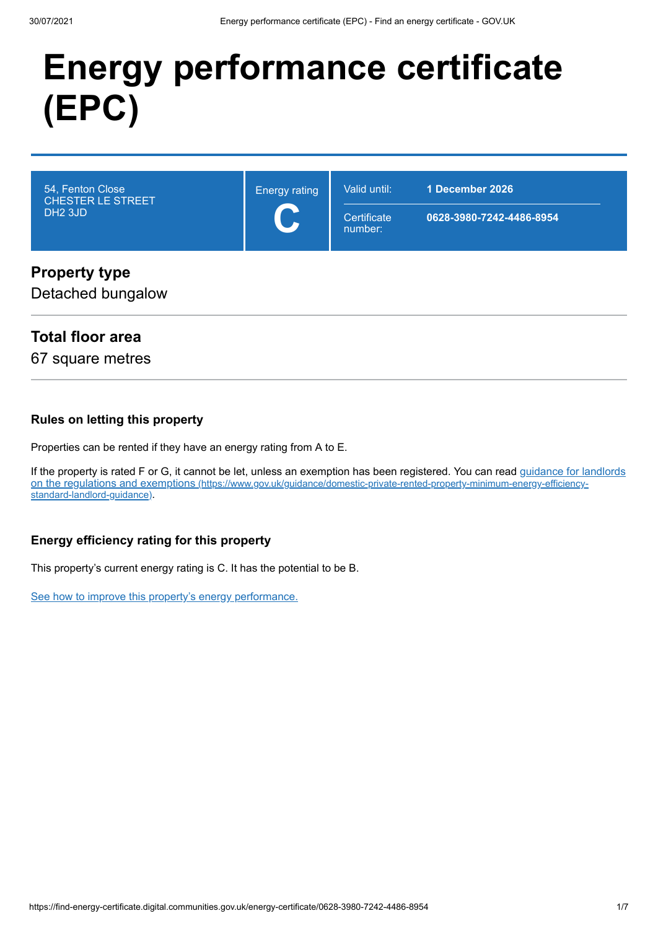# **Energy performance certificate (EPC)**



#### **Property type**

Detached bungalow

### **Total floor area**

67 square metres

#### **Rules on letting this property**

Properties can be rented if they have an energy rating from A to E.

[If the property is rated F or G, it cannot be let, unless an exemption has been registered. You can read guidance for landlords](https://www.gov.uk/guidance/domestic-private-rented-property-minimum-energy-efficiency-standard-landlord-guidance) on the regulations and exemptions (https://www.gov.uk/guidance/domestic-private-rented-property-minimum-energy-efficiencystandard-landlord-guidance).

#### **Energy efficiency rating for this property**

This property's current energy rating is C. It has the potential to be B.

[See how to improve this property's energy performance.](#page-3-0)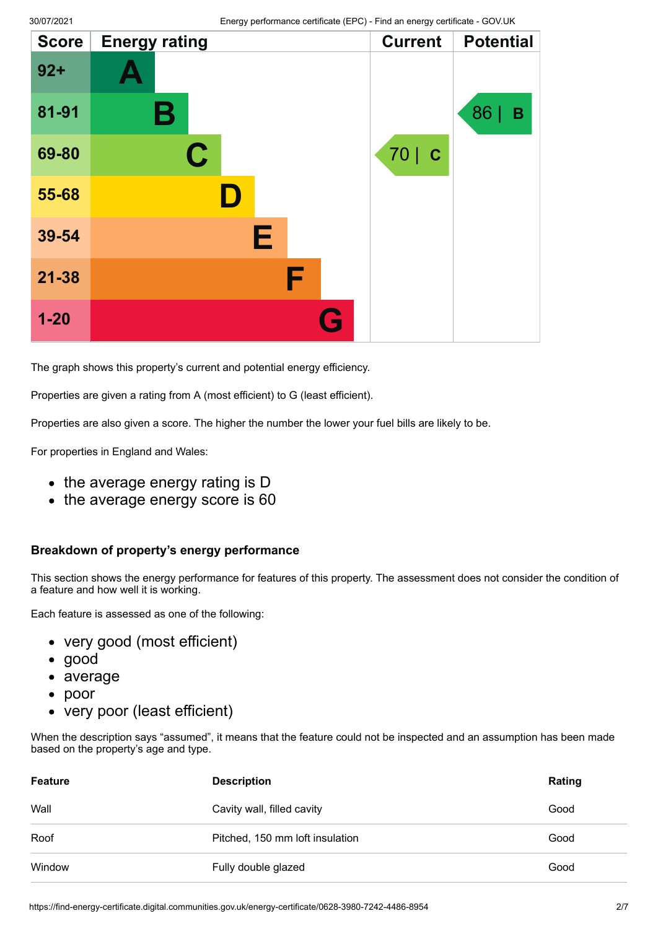| <b>Score</b> | <b>Energy rating</b> | <b>Current</b> | <b>Potential</b> |
|--------------|----------------------|----------------|------------------|
| $92 +$       |                      |                |                  |
| 81-91        | Β                    |                | 86  <br>B        |
| 69-80        | $\mathbf C$          | 70   C         |                  |
| 55-68        | I)                   |                |                  |
| 39-54        | Е                    |                |                  |
| $21 - 38$    | F                    |                |                  |
| $1 - 20$     | G                    |                |                  |

The graph shows this property's current and potential energy efficiency.

Properties are given a rating from A (most efficient) to G (least efficient).

Properties are also given a score. The higher the number the lower your fuel bills are likely to be.

For properties in England and Wales:

- the average energy rating is D
- the average energy score is 60

#### **Breakdown of property's energy performance**

This section shows the energy performance for features of this property. The assessment does not consider the condition of a feature and how well it is working.

Each feature is assessed as one of the following:

- very good (most efficient)
- good
- average
- poor  $\bullet$
- very poor (least efficient)

When the description says "assumed", it means that the feature could not be inspected and an assumption has been made based on the property's age and type.

| <b>Feature</b> | <b>Description</b>              | Rating |
|----------------|---------------------------------|--------|
| Wall           | Cavity wall, filled cavity      | Good   |
| Roof           | Pitched, 150 mm loft insulation | Good   |
| Window         | Fully double glazed             | Good   |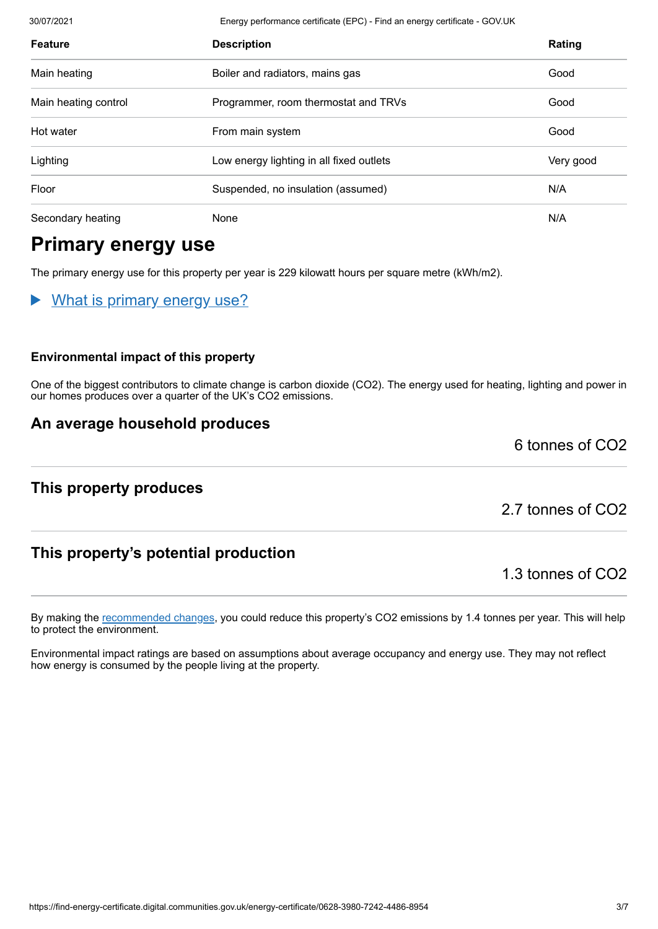30/07/2021 Energy performance certificate (EPC) - Find an energy certificate - GOV.UK **Feature Description Rating** Main heating **Boiler and radiators, mains gas** Boiler and radiators, mains gas **Boiler and Tradiators** Main heating control Programmer, room thermostat and TRVs Good Hot water From main system Good Lighting Low energy lighting in all fixed outlets Communication of the Very good Floor Suspended, no insulation (assumed) N/A Secondary heating None None None None N/A

# **Primary energy use**

The primary energy use for this property per year is 229 kilowatt hours per square metre (kWh/m2).

What is primary energy use?

#### **Environmental impact of this property**

One of the biggest contributors to climate change is carbon dioxide (CO2). The energy used for heating, lighting and power in our homes produces over a quarter of the UK's CO2 emissions.

By making the [recommended changes](#page-3-0), you could reduce this property's CO2 emissions by 1.4 tonnes per year. This will help

Environmental impact ratings are based on assumptions about average occupancy and energy use. They may not reflect

#### **An average household produces**

### **This property produces**

to protect the environment.

2.7 tonnes of CO2

6 tonnes of CO2

### **This property's potential production**

how energy is consumed by the people living at the property.

1.3 tonnes of CO2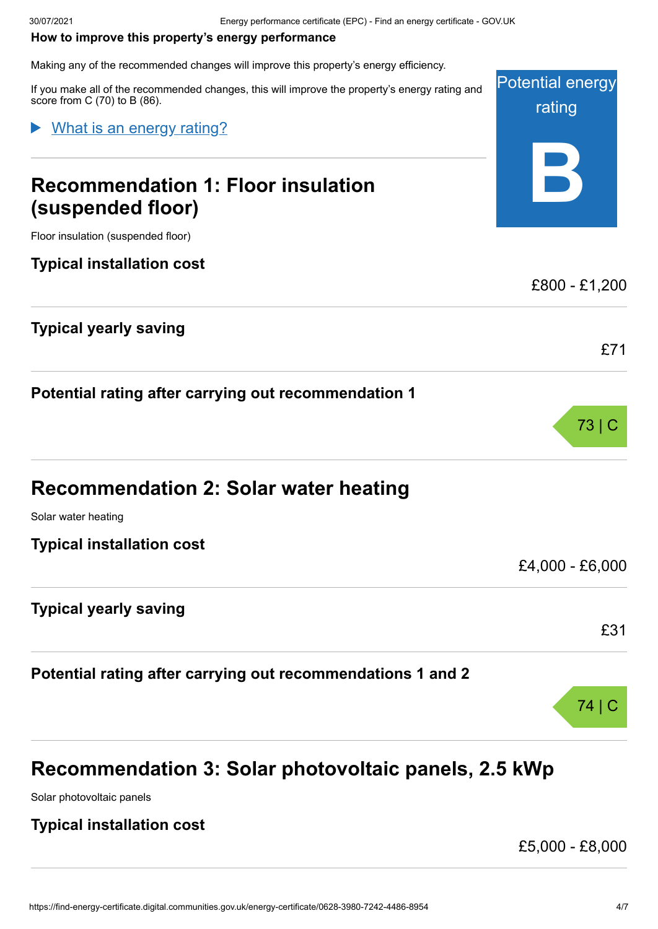#### <span id="page-3-0"></span>**How to improve this property's energy performance**

Making any of the recommended changes will improve this property's energy efficiency.

Potential energy rating **B** If you make all of the recommended changes, this will improve the property's energy rating and score from C (70) to B (86). **Recommendation 1: Floor insulation (suspended floor)** Floor insulation (suspended floor) **Typical installation cost** £800 - £1,200 **Typical yearly saving** £71 **Potential rating after carrying out recommendation 1** What is an energy rating?

| <b>Recommendation 2: Solar water heating</b> |
|----------------------------------------------|
|                                              |

Solar water heating

**Typical installation cost**

#### **Typical yearly saving**

**Potential rating after carrying out recommendations 1 and 2**



Solar photovoltaic panels

#### **Typical installation cost**

£5,000 - £8,000

73 | C

£4,000 - £6,000

£31

74 | C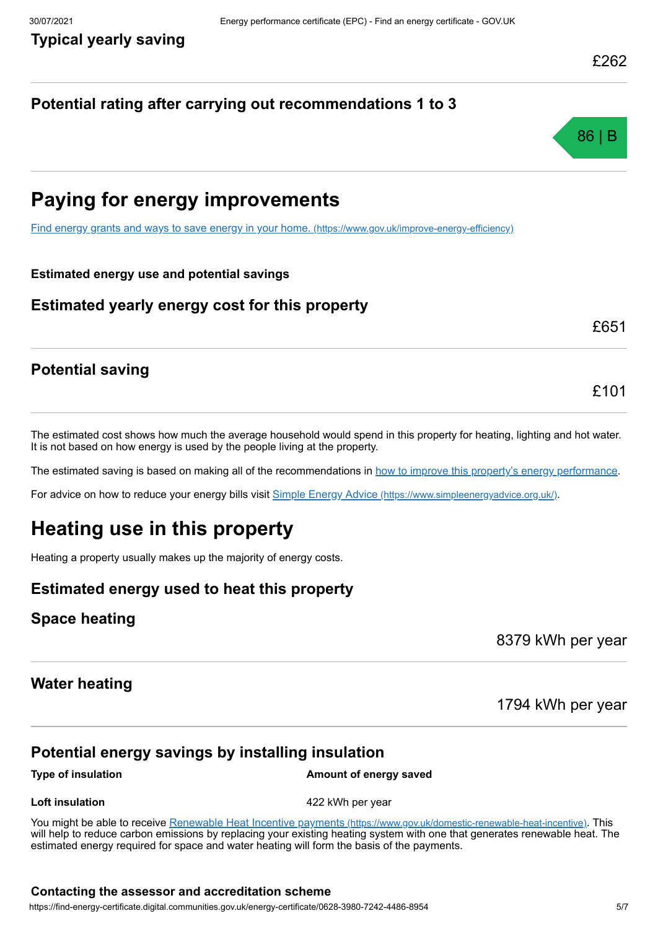### **Potential rating after carrying out recommendations 1 to 3**



# **Paying for energy improvements**

[Find energy grants and ways to save energy in your home.](https://www.gov.uk/improve-energy-efficiency) (https://www.gov.uk/improve-energy-efficiency)

#### **Estimated energy use and potential savings**

#### **Estimated yearly energy cost for this property**

£651

£101

### **Potential saving**

The estimated cost shows how much the average household would spend in this property for heating, lighting and hot water. It is not based on how energy is used by the people living at the property.

The estimated saving is based on making all of the recommendations in [how to improve this property's energy performance.](#page-3-0)

For advice on how to reduce your energy bills visit Simple Energy Advice [\(https://www.simpleenergyadvice.org.uk/\)](https://www.simpleenergyadvice.org.uk/).

# **Heating use in this property**

Heating a property usually makes up the majority of energy costs.

#### **Estimated energy used to heat this property**

#### **Space heating**

8379 kWh per year

#### **Water heating**

1794 kWh per year

### **Potential energy savings by installing insulation**

**Type of insulation Amount of energy saved** 

**Loft insulation 122 kWh** per year

You might be able to receive Renewable Heat Incentive payments [\(https://www.gov.uk/domestic-renewable-heat-incentive\)](https://www.gov.uk/domestic-renewable-heat-incentive). This will help to reduce carbon emissions by replacing your existing heating system with one that generates renewable heat. The estimated energy required for space and water heating will form the basis of the payments.

#### **Contacting the assessor and accreditation scheme**

https://find-energy-certificate.digital.communities.gov.uk/energy-certificate/0628-3980-7242-4486-8954 5/7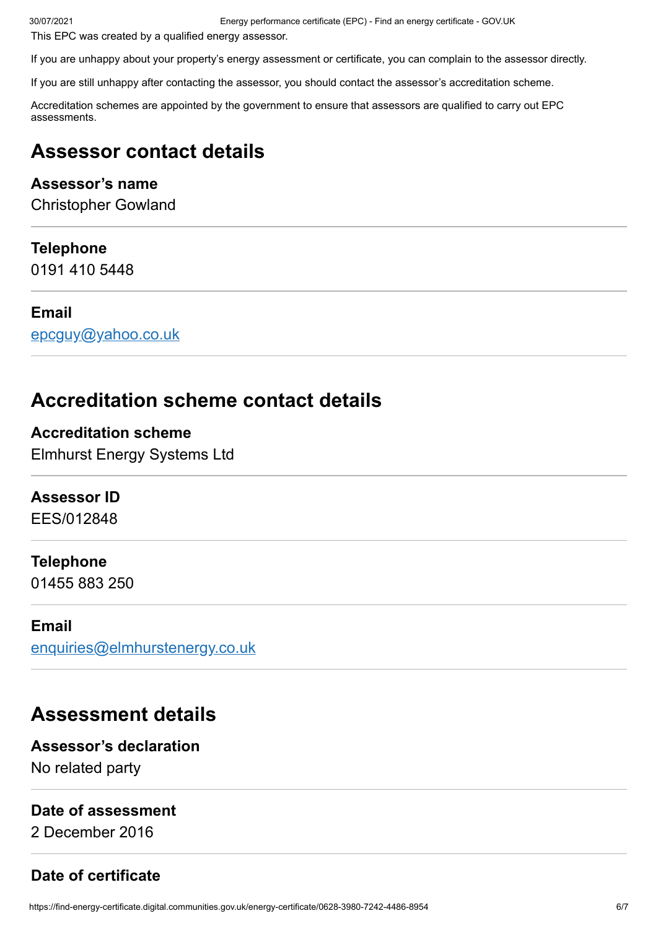30/07/2021 Energy performance certificate (EPC) - Find an energy certificate - GOV.UK

This EPC was created by a qualified energy assessor.

If you are unhappy about your property's energy assessment or certificate, you can complain to the assessor directly.

If you are still unhappy after contacting the assessor, you should contact the assessor's accreditation scheme.

Accreditation schemes are appointed by the government to ensure that assessors are qualified to carry out EPC assessments.

# **Assessor contact details**

#### **Assessor's name**

Christopher Gowland

#### **Telephone**

0191 410 5448

#### **Email**

[epcguy@yahoo.co.uk](mailto:epcguy@yahoo.co.uk)

# **Accreditation scheme contact details**

**Accreditation scheme** Elmhurst Energy Systems Ltd

#### **Assessor ID**

EES/012848

#### **Telephone**

01455 883 250

#### **Email**

[enquiries@elmhurstenergy.co.uk](mailto:enquiries@elmhurstenergy.co.uk)

# **Assessment details**

#### **Assessor's declaration**

No related party

#### **Date of assessment**

2 December 2016

### **Date of certificate**